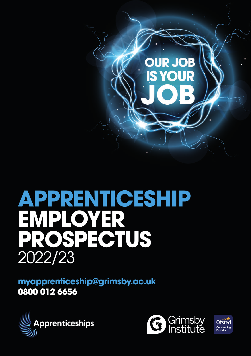

# **APPRENTICESHIP EMPLOYER PROSPECTUS** 2022/23

**myapprenticeship@grimsby.ac.uk 0800 012 6656**





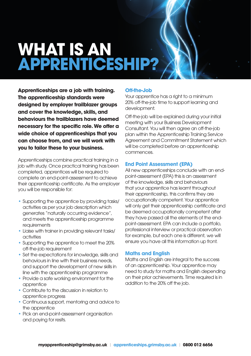## **WHAT IS AN APPRENTICESHIP?**

**Apprenticeships are a job with training. The apprenticeship standards were designed by employer trailblazer groups and cover the knowledge, skills, and behaviours the trailblazers have deemed necessary for the specific role. We offer a wide choice of apprenticeships that you can choose from, and we will work with you to tailor these to your business.**

Apprenticeships combine practical training in a job with study. Once practical training has been completed, apprentices will be required to complete an end-point-assessment to achieve their apprenticeship certificate. As the employer you will be responsible for:

- **•** Supporting the apprentice by providing tasks/ activities as per your job description which generates "naturally occurring evidence", and meets the apprenticeship programme requirements
- **•** Liaise with trainer in providing relevant tasks/ activities
- **•** Supporting the apprentice to meet the 20% off-the-job requirement
- **•** Set the expectations for knowledge, skills and behaviours in line with their business needs, and support the development of new skills in line with the apprenticeship programme
- **•** Provide a safe working environment for the apprentice
- **•** Contribute to the discussion in relation to apprentice progress
- **•** Continuous support, mentoring and advice to the apprentice
- **•** Pick an end-point-assessment organisation and paying for resits.

#### **Off-the-Job**

Your apprentice has a right to a minimum 20% off-the-job time to support learning and development.

Off-the-job will be explained during your initial meeting with your Business Development Consultant. You will then agree an off-the-job plan within the Apprenticeship Training Service Agreement and Commitment Statement which will be completed before an apprenticeship commences.

#### **End Point Assessment (EPA)**

All new apprenticeships conclude with an endpoint-assessment (EPA) this is an assessment of the knowledge, skills and behaviours that your apprentice has learnt throughout their apprenticeship, this confirms they are occupationally competent. Your apprentice will only get their apprenticeship certificate and be deemed occupationally competent after they have passed all the elements of the endpoint-assessment. EPA can include a portfolio, professional interview or practical observation for example, but each one is different, we will ensure you have all this information up front.

#### **Maths and English**

Maths and English are integral to the success of an apprenticeship. Your apprentice may need to study for maths and English depending on their prior achievements. Time required is in addition to the 20% off the job.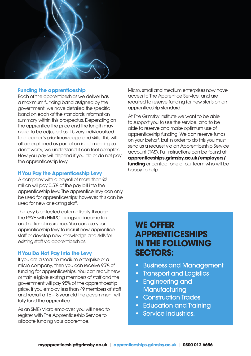#### **Funding the apprenticeship**

Each of the apprenticeships we deliver has a maximum funding band assigned by the government, we have detailed the specific band on each of the standards information summary within this prospectus. Depending on the apprentice the price and the length may need to be adjusted as it is very individualised to a learner's prior knowledge and skills. This will all be explained as part of an initial meeting so don't worry, we understand it can feel complex. How you pay will depend if you do or do not pay the apprenticeship levy.

#### **If You Pay the Apprenticeship Levy**

A company with a payroll of more than £3 million will pay 0.5% of the pay bill into the apprenticeship levy. The apprentice levy can only be used for apprenticeships; however, this can be used for new or existing staff.

The levy is collected automatically through the PAYE with HMRC alongside income tax and national insurance. You can use your apprenticeship levy to recruit new apprentice staff or develop new knowledge and skills for existing staff via apprenticeships.

#### **If You Do Not Pay Into the Levy**

If you are a small to medium enterprise or a micro company, then you can receive 95% of funding for apprenticeships. You can recruit new or train eligible existing members of staff and the government will pay 95% of the apprenticeship price. If you employ less than 49 members of staff and recruit a 16 -18 year old the government will fully fund the apprentice.

As an SME/Micro employer, you will need to register with The Apprenticeship Service to allocate funding your apprentice.

Micro, small and medium enterprises now have access to The Apprentice Service, and are required to reserve funding for new starts on an apprenticeship standard.

At The Grimsby Institute we want to be able to support you to use the service, and to be able to reserve and make optimum use of apprenticeship funding. We can reserve funds on your behalf, but in order to do this you must send us a request via an Apprenticeship Service account (TAS). Full instructions can be found at **apprenticeships.grimsby.ac.uk/employers/ funding** or contact one of our team who will be happy to help.

### **WE OFFER APPRENTICESHIPS IN THE FOLLOWING SECTORS:**

- Business and Management
- Transport and Logistics
- Engineering and **Manufacturing**
- Construction Trades
- Education and Training
- Service Industries.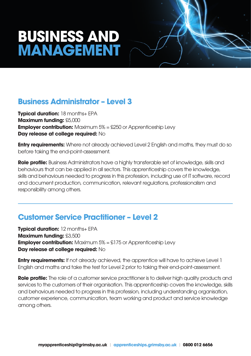## **BUSINESS AND MANAGEMENT**

#### **Business Administrator – Level 3**

**Typical duration:** 18 months+ EPA **Maximum funding:** £5,000 **Employer contribution:** Maximum 5% = £250 or Apprenticeship Levy **Day release at college required:** No

**Entry requirements:** Where not already achieved Level 2 English and maths, they must do so before taking the end-point-assessment.

**Role profile:** Business Administrators have a highly transferable set of knowledge, skills and behaviours that can be applied in all sectors. This apprenticeship covers the knowledge, skills and behaviours needed to progress in this profession, including use of IT software, record and document production, communication, relevant regulations, professionalism and responsibility among others.

#### **Customer Service Practitioner – Level 2**

**Typical duration:** 12 months+ EPA **Maximum funding:** £3,500 **Employer contribution:** Maximum 5% = £175 or Apprenticeship Levy **Day release at college required:** No

**Entry requirements:** If not already achieved, the apprentice will have to achieve Level 1 English and maths and take the test for Level 2 prior to taking their end-point-assessment.

**Role profile:** The role of a customer service practitioner is to deliver high quality products and services to the customers of their organisation. This apprenticeship covers the knowledge, skills and behaviours needed to progress in this profession, including understanding organisation, customer experience, communication, team working and product and service knowledge among others.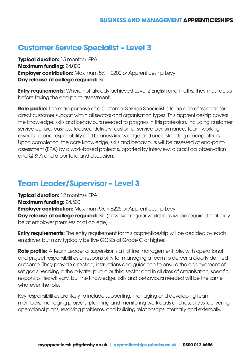### **Customer Service Specialist – Level 3**

**Typical duration:** 15 months+ EPA **Maximum funding:** £4,000 **Employer contribution:** Maximum 5% = £200 or Apprenticeship Levy **Day release at college required:** No

**Entry requirements:** Where not already achieved Level 2 English and maths, they must do so before taking the end-point-assessment.

**Role profile:** The main purpose of a Customer Service Specialist is to be a 'professional' for direct customer support within all sectors and organisation types. This apprenticeship covers the knowledge, skills and behaviours needed to progress in this profession, including customer service culture, business focused delivery, customer service performance, team working, ownership and responsibility and business knowledge and understanding among others. Upon completion, the core knowledge, skills and behaviours will be assessed at end-pointassessment (EPA) by a work-based project supported by interview, a practical observation and Q & A and a portfolio and discussion.

#### **Team Leader/Supervisor – Level 3**

**Typical duration:** 12 months+ EPA **Maximum funding:** £4,500 **Employer contribution:** Maximum 5% = £225 or Apprenticeship Levy **Day release at college required:** No (however regular workshops will be required that may be at employer premises or at college)

**Entry requirements:** The entry requirement for this apprenticeship will be decided by each employer, but may typically be five GCSEs at Grade C or higher.

**Role profile:** A Team Leader or supervisor is a first line management role, with operational and project responsibilities or responsibility for managing a team to deliver a clearly defined outcome. They provide direction, instructions and guidance to ensure the achievement of set goals. Working in the private, public or third sector and in all sizes of organisation, specific responsibilities will vary, but the knowledge, skills and behaviours needed will be the same whatever the role.

Key responsibilities are likely to include supporting, managing and developing team members, managing projects, planning and monitoring workloads and resources, delivering operational plans, resolving problems, and building relationships internally and externally.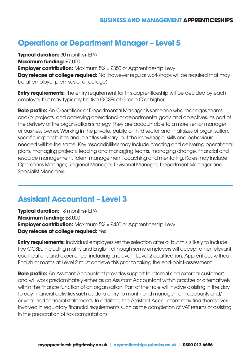### **Operations or Department Manager – Level 5**

**Typical duration: 30 months+ EPA Maximum funding:** £7,000 **Employer contribution:** Maximum 5% = £350 or Apprenticeship Levy **Day release at college required:** No (however regular workshops will be required that may be at employer premises or at college)

**Entry requirements:** The entry requirement for this apprenticeship will be decided by each employer, but may typically be five GCSEs at Grade C or higher.

**Role profile:** An Operations or Departmental Manager is someone who manages teams and/or projects, and achieving operational or departmental goals and objectives, as part of the delivery of the organisations strategy. They are accountable to a more senior manager or business owner. Working in the private, public or third sector and in all sizes of organisation, specific responsibilities and job titles will vary, but the knowledge, skills and behaviours needed will be the same. Key responsibilities may include creating and delivering operational plans, managing projects, leading and managing teams, managing change, financial and resource management, talent management, coaching and mentoring. Roles may include: Operations Manager, Regional Manager, Divisional Manager, Department Manager and Specialist Managers.

#### **Assistant Accountant – Level 3**

**Typical duration:** 18 months+ EPA **Maximum funding:** £8,000 **Employer contribution:** Maximum 5% = £400 or Apprenticeship Levy **Day release at college required:** Yes

**Entry requirements:** Individual employers set the selection criteria, but this is likely to include five GCSEs, including maths and English, although some employers will accept other relevant qualifications and experience, including a relevant Level 2 qualification. Apprentices without English or maths at Level 2 must achieve this prior to taking the end-point-assessment.

**Role profile:** An Assistant Accountant provides support to internal and external customers and will work predominately either as an Assistant Accountant within practise or alternatively within the finance function of an organisation. Part of their role will involve assisting in the day to day financial activities such as data entry to month end management accounts and/ or year-end financial statements. In addition, the Assistant Accountant may find themselves involved in regulatory financial requirements such as the completion of VAT returns or assisting in the preparation of tax computations.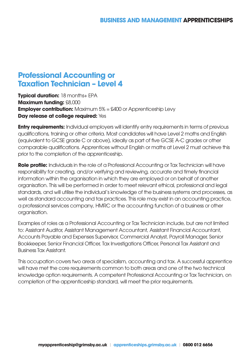#### **Professional Accounting or Taxation Technician – Level 4**

**Typical duration:** 18 months+ EPA **Maximum funding:** £8,000 **Employer contribution:** Maximum 5% = £400 or Apprenticeship Levy **Day release at college required:** Yes

**Entry requirements:** Individual employers will identify entry requirements in terms of previous qualifications, training or other criteria. Most candidates will have Level 2 maths and English (equivalent to GCSE grade C or above), ideally as part of five GCSE A-C grades or other comparable qualifications. Apprentices without English or maths at Level 2 must achieve this prior to the completion of the apprenticeship.

**Role profile:** Individuals in the role of a Professional Accounting or Tax Technician will have responsibility for creating, and/or verifying and reviewing, accurate and timely financial information within the organisation in which they are employed or on behalf of another organisation. This will be performed in order to meet relevant ethical, professional and legal standards, and will utilise the individual's knowledge of the business systems and processes, as well as standard accounting and tax practices. This role may exist in an accounting practice, a professional services company, HMRC or the accounting function of a business or other organisation.

Examples of roles as a Professional Accounting or Tax Technician include, but are not limited to: Assistant Auditor, Assistant Management Accountant, Assistant Financial Accountant, Accounts Payable and Expenses Supervisor, Commercial Analyst, Payroll Manager, Senior Bookkeeper, Senior Financial Officer, Tax Investigations Officer, Personal Tax Assistant and Business Tax Assistant.

This occupation covers two areas of specialism, accounting and tax. A successful apprentice will have met the core requirements common to both areas and one of the two technical knowledge option requirements. A competent Professional Accounting or Tax Technician, on completion of the apprenticeship standard, will meet the prior requirements.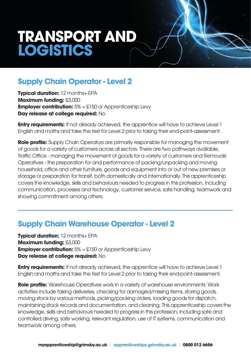## **TRANSPORT AND LOGISTICS**

### **Supply Chain Operator - Level 2**

**Typical duration: 12 months+ EPA Maximum funding:** £3,000 **Employer contribution:**  $5\% = \text{\textsterling}150$  or Apprenticeship Levy **Day release at college required:** No

**Entry requirements:** If not already achieved, the apprentice will have to achieve Level 1 English and maths and take the test for Level 2 prior to taking their end-point-assessment.

**Role profile:** Supply Chain Operators are primarily responsible for managing the movement of goods for a variety of customers across all sectors. There are two pathways available, Traffic Office - managing the movement of goods for a variety of customers and Removals Operatives - the preparation for and performance of packing/unpacking and moving household, office and other furniture, goods and equipment into or out of new premises or storage or preparation for transit, both domestically and internationally. This apprenticeship covers the knowledge, skills and behaviours needed to progress in this profession, including communication, processes and technology, customer service, safe handling, teamwork and showing commitment among others.

#### **Supply Chain Warehouse Operator - Level 2**

**Typical duration:** 12 months+ EPA **Maximum funding:** £3,000 **Employer contribution:**  $5\% = $150$  or Apprenticeship Levy **Day release at college required:** No

**Entry requirements:** If not already achieved, the apprentice will have to achieve Level 1 English and maths and take the test for Level 2 prior to taking their end-point-assessment.

**Role profile:** Warehouse Operatives work in a variety of warehouse environments. Work activities include taking deliveries, checking for damaged/missing items, storing goods, moving stock by various methods, picking/packing orders, loading goods for dispatch, maintaining stock records and documentation, and cleaning. This apprenticeship covers the knowledge, skills and behaviours needed to progress in this profession, including safe and controlled driving, safe working, relevant regulation, use of IT systems, communication and teamwork among others.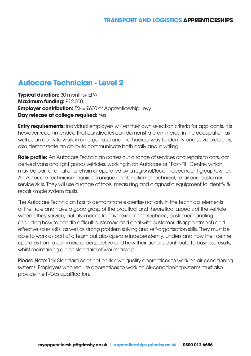### **Autocare Technician - Level 2**

**Typical duration:** 30 months+ EPA **Maximum funding:** £12,000 **Employer contribution:**  $5\% = \text{\pounds}600$  or Apprenticeship Levy **Day release at college required:** Yes

**Entry requirements:** Individual employers will set their own selection criteria for applicants. It is however recommended that candidates can demonstrate an interest in the occupation as well as an ability to work in an organised and methodical way to identify and solve problems; also demonstrate an ability to communicate both orally and in writing.

**Role profile:** An Autocare Technician carries out a range of services and repairs to cars, car derived vans and light goods vehicles, working in an Autocare or "Fast-Fit" Centre, which may be part of a national chain or operated by a regional/local independent group/owner. An Autocare Technician requires a unique combination of technical, retail and customer service skills. They will use a range of tools, measuring and diagnostic equipment to identify & repair simple system faults.

The Autocare Technician has to demonstrate expertise not only in the technical elements of their role and have a good grasp of the practical and theoretical aspects of the vehicle systems they service, but also needs to have excellent telephone, customer handling (including how to handle difficult customers and deal with customer disappointment) and effective sales skills, as well as strong problem solving and self-organisation skills. They must be able to work as part of a team but also operate independently, understand how their centre operates from a commercial perspective and how their actions contribute to business results, whilst maintaining a high standard of workmanship.

Please Note: This Standard does not on its own qualify apprentices to work on air-conditioning systems. Employers who require apprentices to work on air-conditioning systems must also provide the F-Gas qualification.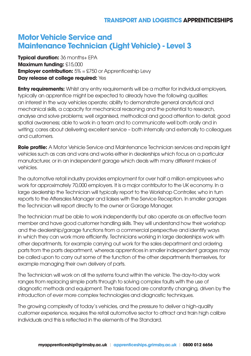### **Motor Vehicle Service and Maintenance Technician (Light Vehicle) - Level 3**

**Typical duration:** 36 months+ EPA **Maximum funding:** £15,000 **Employer contribution:**  $5\% = $750$  or Apprenticeship Levy **Day release at college required: Yes** 

**Entry requirements:** Whilst any entry requirements will be a matter for individual employers, typically an apprentice might be expected to already have the following qualities: an interest in the way vehicles operate; ability to demonstrate general analytical and mechanical skills, a capacity for mechanical reasoning and the potential to research, analyse and solve problems; well organised, methodical and good attention to detail; good spatial awareness; able to work in a team and to communicate well both orally and in writing; cares about delivering excellent service – both internally and externally to colleagues and customers.

**Role profile:** A Motor Vehicle Service and Maintenance Technician services and repairs light vehicles such as cars and vans and works either in dealerships which focus on a particular manufacturer, or in an independent garage which deals with many different makes of vehicles.

The automotive retail industry provides employment for over half a million employees who work for approximately 70,000 employers. It is a major contributor to the UK economy. In a large dealership the Technician will typically report to the Workshop Controller, who in turn reports to the Aftersales Manager and liaises with the Service Reception. In smaller garages the Technician will report directly to the owner or Garage Manager.

The technician must be able to work independently but also operate as an effective team member and have good customer handling skills. They will understand how their workshop and the dealership/garage functions from a commercial perspective and identify ways in which they can work more efficiently. Technicians working in large dealerships work with other departments, for example carrying out work for the sales department and ordering parts from the parts department, whereas apprentices in smaller independent garages may be called upon to carry out some of the function of the other departments themselves, for example managing their own delivery of parts.

The Technician will work on all the systems found within the vehicle. The day-to-day work ranges from replacing simple parts through to solving complex faults with the use of diagnostic methods and equipment. The tasks faced are constantly changing, driven by the introduction of ever more complex technologies and diagnostic techniques.

The growing complexity of today's vehicles, and the pressure to deliver a high-quality customer experience, requires the retail automotive sector to attract and train high calibre individuals and this is reflected in the elements of the Standard.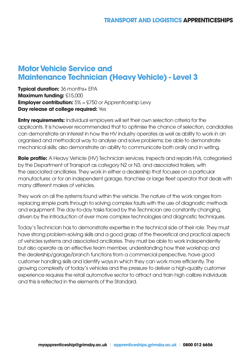#### **Motor Vehicle Service and Maintenance Technician (Heavy Vehicle) - Level 3**

**Typical duration:** 36 months+ EPA **Maximum funding:** £15,000 **Employer contribution:**  $5\% = $750$  or Apprenticeship Levy **Day release at college required:** Yes

**Entry requirements:** Individual employers will set their own selection criteria for the applicants. It is however recommended that to optimise the chance of selection, candidates can demonstrate an interest in how the HV industry operates as well as ability to work in an organised and methodical way to analyse and solve problems; be able to demonstrate mechanical skills; also demonstrate an ability to communicate both orally and in writing.

**Role profile:** A Heavy Vehicle (HV) Technician services, inspects and repairs HVs, categorised by the Department of Transport as category N2 or N3, and associated trailers, with the associated ancillaries. They work in either a dealership that focuses on a particular manufacturer, or for an independent garage, franchise or large fleet operator that deals with many different makes of vehicles.

They work on all the systems found within the vehicle. The nature of the work ranges from replacing simple parts through to solving complex faults with the use of diagnostic methods and equipment. The day-to-day tasks faced by the Technician are constantly changing, driven by the introduction of ever more complex technologies and diagnostic techniques.

Today's Technician has to demonstrate expertise in the technical side of their role. They must have strong problem-solving skills and a good grasp of the theoretical and practical aspects of vehicles systems and associated ancillaries. They must be able to work independently but also operate as an effective team member, understanding how their workshop and the dealership/garage/branch functions from a commercial perspective, have good customer handling skills and identify ways in which they can work more efficiently. The growing complexity of today's vehicles and the pressure to deliver a high-quality customer experience requires the retail automotive sector to attract and train high calibre individuals and this is reflected in the elements of the Standard.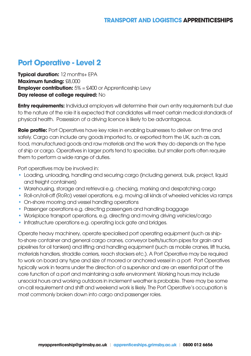### **Port Operative - Level 2**

**Typical duration: 12 months+ EPA Maximum funding:** £8,000 **Employer contribution:**  $5\% = \text{\pounds}400$  or Apprenticeship Levy **Day release at college required:** No

**Entry requirements:** Individual employers will determine their own entry requirements but due to the nature of the role it is expected that candidates will meet certain medical standards of physical health. Possession of a driving licence is likely to be advantageous.

**Role profile:** Port Operatives have key roles in enabling businesses to deliver on time and safely. Cargo can include any goods imported to, or exported from the UK, such as cars, food, manufactured goods and raw materials and the work they do depends on the type of ship or cargo. Operatives in larger ports tend to specialise, but smaller ports often require them to perform a wide range of duties.

Port operatives may be involved in:

- Loading, unloading, handling and securing cargo (including general, bulk, project, liquid and freight containers)
- **•** Warehousing, storage and retrieval e.g. checking, marking and despatching cargo
- **•** Roll-on/roll-off (RoRo) vessel operations, e.g. moving all kinds of wheeled vehicles via ramps
- **•** On-shore mooring and vessel handling operations
- **•** Passenger operations e.g. directing passengers and handling baggage
- **•** Workplace transport operations, e.g. directing and moving driving vehicles/cargo
- **•** Infrastructure operations e.g. operating lock gate and bridges.

Operate heavy machinery, operate specialised port operating equipment (such as shipto-shore container and general cargo cranes, conveyor belts/suction pipes for grain and pipelines for oil tankers) and lifting and handling equipment (such as mobile cranes, lift trucks, materials handlers, straddle carriers, reach stackers etc.). A Port Operative may be required to work on board any type and size of moored or anchored vessel in a port. Port Operatives typically work in teams under the direction of a supervisor and are an essential part of the core function of a port and maintaining a safe environment. Working hours may include unsocial hours and working outdoors in inclement weather is probable. There may be some on-call requirement and shift and weekend work is likely. The Port Operative's occupation is most commonly broken down into cargo and passenger roles.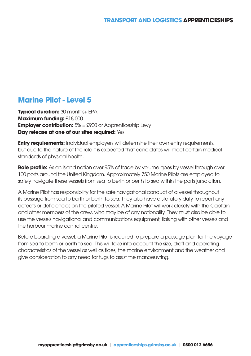### **Marine Pilot - Level 5**

**Typical duration: 30 months+ EPA Maximum funding:** £18,000 **Employer contribution:**  $5\% = $900$  or Apprenticeship Levy **Day release at one of our sites required:** Yes

**Entry requirements:** Individual employers will determine their own entry requirements; but due to the nature of the role it is expected that candidates will meet certain medical standards of physical health.

**Role profile:** As an island nation over 95% of trade by volume goes by vessel through over 100 ports around the United Kingdom. Approximately 750 Marine Pilots are employed to safely navigate these vessels from sea to berth or berth to sea within the ports jurisdiction.

A Marine Pilot has responsibility for the safe navigational conduct of a vessel throughout its passage from sea to berth or berth to sea. They also have a statutory duty to report any defects or deficiencies on the piloted vessel. A Marine Pilot will work closely with the Captain and other members of the crew, who may be of any nationality. They must also be able to use the vessels navigational and communications equipment, liaising with other vessels and the harbour marine control centre.

Before boarding a vessel, a Marine Pilot is required to prepare a passage plan for the voyage from sea to berth or berth to sea. This will take into account the size, draft and operating characteristics of the vessel as well as tides, the marine environment and the weather and give consideration to any need for tugs to assist the manoeuvring.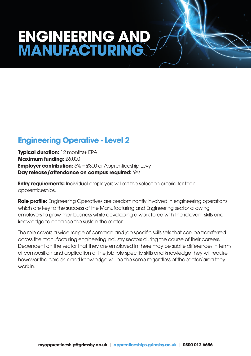## **ENGINEERING AND MANUFACTURING**

### **Engineering Operative - Level 2**

**Typical duration: 12 months+ EPA Maximum funding:** £6,000 **Employer contribution:**  $5\% = $300$  or Apprenticeship Levy **Day release/attendance on campus required:** Yes

**Entry requirements:** Individual employers will set the selection criteria for their apprenticeships.

**Role profile:** Engineering Operatives are predominantly involved in engineering operations which are key to the success of the Manufacturing and Engineering sector allowing employers to grow their business while developing a work force with the relevant skills and knowledge to enhance the sustain the sector.

The role covers a wide range of common and job specific skills sets that can be transferred across the manufacturing engineering industry sectors during the course of their careers. Dependent on the sector that they are employed in there may be subtle differences in terms of composition and application of the job role specific skills and knowledge they will require, however the core skills and knowledge will be the same regardless of the sector/area they work in.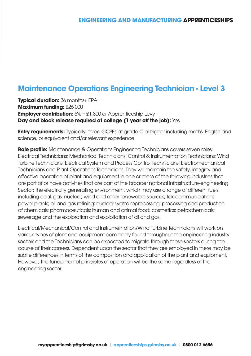### **Maintenance Operations Engineering Technician - Level 3**

**Typical duration:** 36 months+ EPA **Maximum funding:** £26,000 **Employer contribution:**  $5\% = \text{\textsterling}1,300$  or Apprenticeship Levy **Day and block release required at college (1 year off the job):** Yes

**Entry requirements:** Typically, three GCSEs at grade C or higher including maths, English and science, or equivalent and/or relevant experience.

**Role profile:** Maintenance & Operations Engineering Technicians covers seven roles: Electrical Technicians; Mechanical Technicians; Control & Instrumentation Technicians; Wind Turbine Technicians; Electrical System and Process Control Technicians; Electromechanical Technicians and Plant Operations Technicians. They will maintain the safety, integrity and effective operation of plant and equipment in one or more of the following industries that are part of or have activities that are part of the broader national infrastructure-engineering Sector: the electricity generating environment, which may use a range of different fuels including coal, gas, nuclear, wind and other renewable sources; telecommunications power plants; oil and gas refining; nuclear waste reprocessing; processing and production of chemicals; pharmaceuticals; human and animal food; cosmetics; petrochemicals; sewerage and the exploration and exploitation of oil and gas.

Electrical/Mechanical/Control and Instrumentation/Wind Turbine Technicians will work on various types of plant and equipment commonly found throughout the engineering industry sectors and the Technicians can be expected to migrate through these sectors during the course of their careers. Dependent upon the sector that they are employed in there may be subtle differences in terms of the composition and application of the plant and equipment. However, the fundamental principles of operation will be the same regardless of the engineering sector.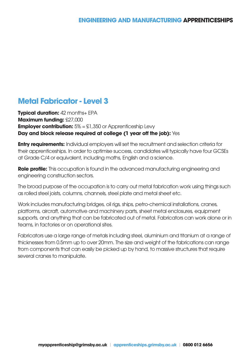### **Metal Fabricator - Level 3**

**Typical duration: 42 months+ EPA Maximum funding:** £27,000 **Employer contribution:**  $5\% = \text{\textsterling}1,350$  or Apprenticeship Levy **Day and block release required at college (1 year off the job):** Yes

**Entry requirements:** Individual employers will set the recruitment and selection criteria for their apprenticeships. In order to optimise success, candidates will typically have four GCSEs at Grade C/4 or equivalent, including maths, English and a science.

**Role profile:** This occupation is found in the advanced manufacturing engineering and engineering construction sectors.

The broad purpose of the occupation is to carry out metal fabrication work using things such as rolled steel joists, columns, channels, steel plate and metal sheet etc.

Work includes manufacturing bridges, oil rigs, ships, petro-chemical installations, cranes, platforms, aircraft, automotive and machinery parts, sheet metal enclosures, equipment supports, and anything that can be fabricated out of metal. Fabricators can work alone or in teams, in factories or on operational sites.

Fabricators use a large range of metals including steel, aluminium and titanium at a range of thicknesses from 0.5mm up to over 20mm. The size and weight of the fabrications can range from components that can easily be picked up by hand, to massive structures that require several cranes to manipulate.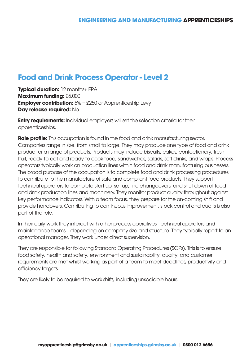#### **Food and Drink Process Operator - Level 2**

**Typical duration:** 12 months+ EPA **Maximum funding:** £5,000 **Employer contribution:**  $5\% = $250$  or Apprenticeship Levy **Day release required:** No

**Entry requirements:** Individual employers will set the selection criteria for their apprenticeships.

**Role profile:** This occupation is found in the food and drink manufacturing sector. Companies range in size, from small to large. They may produce one type of food and drink product or a range of products. Products may include biscuits, cakes, confectionery, fresh fruit, ready-to-eat and ready-to cook food, sandwiches, salads, soft drinks, and wraps. Process operators typically work on production lines within food and drink manufacturing businesses. The broad purpose of the occupation is to complete food and drink processing procedures to contribute to the manufacture of safe and compliant food products. They support technical operators to complete start up, set up, line changeovers, and shut down of food and drink production lines and machinery. They monitor product quality throughout against key performance indicators. With a team focus, they prepare for the on-coming shift and provide handovers. Contributing to continuous improvement, stock control and audits is also part of the role.

In their daily work they interact with other process operatives, technical operators and maintenance teams – depending on company size and structure. They typically report to an operational manager. They work under direct supervision.

They are responsible for following Standard Operating Procedures (SOPs). This is to ensure food safety, health and safety, environment and sustainability, quality, and customer requirements are met whilst working as part of a team to meet deadlines, productivity and efficiency targets.

They are likely to be required to work shifts, including unsociable hours.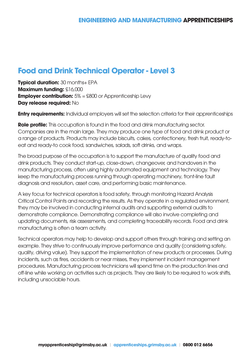#### **Food and Drink Technical Operator - Level 3**

**Typical duration: 30 months+ EPA Maximum funding:** £16,000 **Employer contribution:**  $5\% = $800$  or Apprenticeship Levy **Day release required:** No

**Entry requirements:** Individual employers will set the selection criteria for their apprenticeships

**Role profile:** This occupation is found in the food and drink manufacturing sector. Companies are in the main large. They may produce one type of food and drink product or a range of products. Products may include biscuits, cakes, confectionery, fresh fruit, ready-toeat and ready-to cook food, sandwiches, salads, soft drinks, and wraps.

The broad purpose of the occupation is to support the manufacture of quality food and drink products. They conduct start-up, close-down, changeover, and handovers in the manufacturing process, often using highly automated equipment and technology. They keep the manufacturing process running through operating machinery, front-line fault diagnosis and resolution, asset care, and performing basic maintenance.

A key focus for technical operators is food safety, through monitoring Hazard Analysis Critical Control Points and recording the results. As they operate in a regulated environment, they may be involved in conducting internal audits and supporting external audits to demonstrate compliance. Demonstrating compliance will also involve completing and updating documents, risk assessments, and completing traceability records. Food and drink manufacturing is often a team activity.

Technical operators may help to develop and support others through training and setting an example. They strive to continuously improve performance and quality (considering safety, quality, driving value). They support the implementation of new products or processes. During incidents, such as fires, accidents or near misses, they implement incident management procedures. Manufacturing process technicians will spend time on the production lines and off-line while working on activities such as projects. They are likely to be required to work shifts, including unsociable hours.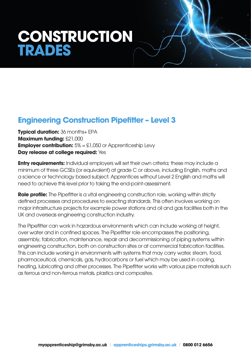## **CONSTRUCTION TRADES**

### **Engineering Construction Pipefitter – Level 3**

**Typical duration:** 36 months+ EPA **Maximum funding:** £21,000 **Employer contribution:**  $5\% = \pounds1,050$  or Apprenticeship Levy **Day release at college required:** Yes

**Entry requirements:** Individual employers will set their own criteria; these may include a minimum of three GCSEs (or equivalent) at grade C or above, including English, maths and a science or technology based subject. Apprentices without Level 2 English and maths will need to achieve this level prior to taking the end-point-assessment.

**Role profile:** The Pipefitter is a vital engineering construction role, working within strictly defined processes and procedures to exacting standards. This often involves working on major infrastructure projects for example power stations and oil and gas facilities both in the UK and overseas engineering construction industry.

The Pipefitter can work in hazardous environments which can include working at height, over water and in confined spaces. The Pipefitter role encompasses the positioning, assembly, fabrication, maintenance, repair and decommissioning of piping systems within engineering construction, both on construction sites or at commercial fabrication facilities. This can include working in environments with systems that may carry water, steam, food, pharmaceutical, chemicals, gas, hydrocarbons or fuel which may be used in cooling, heating, lubricating and other processes. The Pipefitter works with various pipe materials such as ferrous and non-ferrous metals, plastics and composites.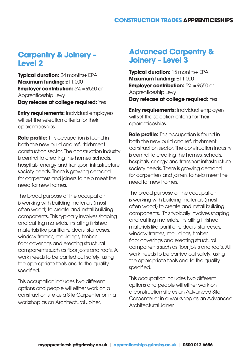#### **Carpentry & Joinery – Level 2**

**Typical duration: 24 months+ EPA Maximum funding:** £11,000 **Employer contribution:**  $5\% = $550$  or Apprenticeship Levy **Day release at college required:** Yes

**Entry requirements:** Individual employers will set the selection criteria for their apprenticeships.

**Role profile:** This occupation is found in both the new build and refurbishment construction sector. The construction industry is central to creating the homes, schools, hospitals, energy and transport infrastructure society needs. There is growing demand for carpenters and joiners to help meet the need for new homes.

The broad purpose of the occupation is working with building materials (most often wood) to create and install building components. This typically involves shaping and cutting materials, installing finished materials like partitions, doors, staircases, window frames, mouldings, timber floor coverings and erecting structural components such as floor joists and roofs. All work needs to be carried out safely, using the appropriate tools and to the quality specified.

This occupation includes two different options and people will either work on a construction site as a Site Carpenter or in a workshop as an Architectural Joiner.

#### **Advanced Carpentry & Joinery – Level 3**

**Typical duration:** 15 months+ EPA **Maximum funding:** £11,000 **Employer contribution:**  $5\% = $550$  or Apprenticeship Levy **Day release at college required:** Yes

**Entry requirements:** Individual employers will set the selection criteria for their apprenticeships.

**Role profile:** This occupation is found in both the new build and refurbishment construction sector. The construction industry is central to creating the homes, schools, hospitals, energy and transport infrastructure society needs. There is growing demand for carpenters and joiners to help meet the need for new homes.

The broad purpose of the occupation is working with building materials (most often wood) to create and install building components. This typically involves shaping and cutting materials, installing finished materials like partitions, doors, staircases, window frames, mouldings, timber floor coverings and erecting structural components such as floor joists and roofs. All work needs to be carried out safely, using the appropriate tools and to the quality specified.

This occupation includes two different options and people will either work on a construction site as an Advanced Site Carpenter or in a workshop as an Advanced Architectural Joiner.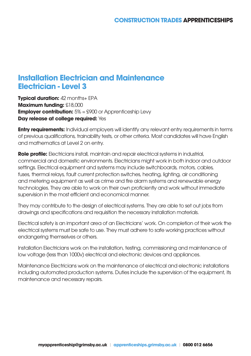#### **Installation Electrician and Maintenance Electrician - Level 3**

**Typical duration:** 42 months+ EPA **Maximum funding:** £18,000 **Employer contribution:**  $5\% = $900$  or Apprenticeship Levy **Day release at college required:** Yes

**Entry requirements:** Individual employers will identify any relevant entry requirements in terms of previous qualifications, trainability tests, or other criteria. Most candidates will have English and mathematics at Level 2 on entry.

**Role profile:** Electricians install, maintain and repair electrical systems in industrial, commercial and domestic environments. Electricians might work in both indoor and outdoor settings. Electrical equipment and systems may include switchboards, motors, cables, fuses, thermal relays, fault current protection switches, heating, lighting, air conditioning and metering equipment as well as crime and fire alarm systems and renewable energy technologies. They are able to work on their own proficiently and work without immediate supervision in the most efficient and economical manner.

They may contribute to the design of electrical systems. They are able to set out jobs from drawings and specifications and requisition the necessary installation materials.

Electrical safety is an important area of an Electricians' work. On completion of their work the electrical systems must be safe to use. They must adhere to safe working practices without endangering themselves or others.

Installation Electricians work on the installation, testing, commissioning and maintenance of low voltage (less than 1000v) electrical and electronic devices and appliances.

Maintenance Electricians work on the maintenance of electrical and electronic installations including automated production systems. Duties include the supervision of the equipment, its maintenance and necessary repairs.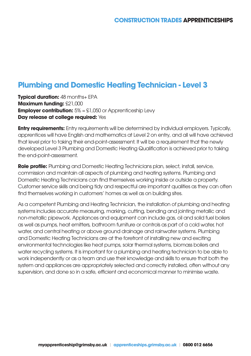### **Plumbing and Domestic Heating Technician - Level 3**

**Typical duration: 48 months+ EPA Maximum funding:** £21,000 **Employer contribution:**  $5\% = \text{\textsterling}1,050$  or Apprenticeship Levy **Day release at college required: Yes** 

**Entry requirements:** Entry requirements will be determined by individual employers. Typically, apprentices will have English and mathematics at Level 2 on entry, and all will have achieved that level prior to taking their end-point-assessment. It will be a requirement that the newly developed Level 3 Plumbing and Domestic Heating Qualification is achieved prior to taking the end-point-assessment.

**Role profile:** Plumbing and Domestic Heating Technicians plan, select, install, service, commission and maintain all aspects of plumbing and heating systems. Plumbing and Domestic Heating Technicians can find themselves working inside or outside a property. Customer service skills and being tidy and respectful are important qualities as they can often find themselves working in customers' homes as well as on building sites.

As a competent Plumbing and Heating Technician, the installation of plumbing and heating systems includes accurate measuring, marking, cutting, bending and jointing metallic and non-metallic pipework. Appliances and equipment can include gas, oil and solid fuel boilers as well as pumps, heat emitters, bathroom furniture or controls as part of a cold water, hot water, and central heating or above ground drainage and rainwater systems. Plumbing and Domestic Heating Technicians are at the forefront of installing new and exciting environmental technologies like heat pumps, solar thermal systems, biomass boilers and water recycling systems. It is important for a plumbing and heating technician to be able to work independently or as a team and use their knowledge and skills to ensure that both the system and appliances are appropriately selected and correctly installed, often without any supervision, and done so in a safe, efficient and economical manner to minimise waste.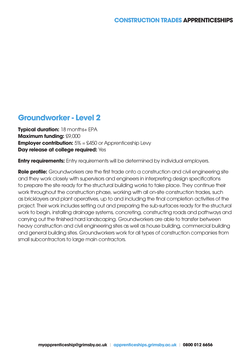#### **Groundworker - Level 2**

**Typical duration:** 18 months+ EPA **Maximum funding:** £9,000 **Employer contribution:**  $5\% = $450$  or Apprenticeship Levy **Day release at college required:** Yes

**Entry requirements:** Entry requirements will be determined by individual employers.

**Role profile:** Groundworkers are the first trade onto a construction and civil engineering site and they work closely with supervisors and engineers in interpreting design specifications to prepare the site ready for the structural building works to take place. They continue their work throughout the construction phase, working with all on-site construction trades, such as bricklayers and plant operatives, up to and including the final completion activities of the project. Their work includes setting out and preparing the sub-surfaces ready for the structural work to begin, installing drainage systems, concreting, constructing roads and pathways and carrying out the finished hard landscaping. Groundworkers are able to transfer between heavy construction and civil engineering sites as well as house building, commercial building and general building sites. Groundworkers work for all types of construction companies from small subcontractors to large main contractors.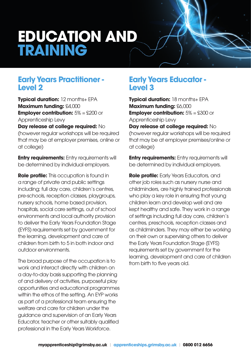## **EDUCATION AND TRAINING**

#### **Early Years Practitioner - Level 2**

**Typical duration:** 12 months+ EPA **Maximum funding:** £4,000 **Employer contribution:**  $5\% = \text{\pounds}200$  or Apprenticeship Levy

**Day release at college required:** No (however regular workshops will be required that may be at employer premises, online or at college)

**Entry requirements:** Entry requirements will be determined by individual employers.

**Role profile:** This occupation is found in a range of private and public settings including; full day care, children's centres, pre-schools, reception classes, playgroups, nursery schools, home based provision, hospitals, social care settings, out of school environments and local authority provision to deliver the Early Years Foundation Stage (EYFS) requirements set by government for the learning, development and care of children from birth to 5 in both indoor and outdoor environments.

The broad purpose of the occupation is to work and interact directly with children on a day-to-day basis supporting the planning of and delivery of activities, purposeful play opportunities and educational programmes within the ethos of the setting. An EYP works as part of a professional team ensuring the welfare and care for children under the guidance and supervision of an Early Years Educator, teacher or other suitably qualified professional in the Early Years Workforce.

#### **Early Years Educator - Level 3**

**Typical duration:** 18 months+ EPA **Maximum funding:** £6,000 **Employer contribution:**  $5\% = $300$  or Apprenticeship Levy

**Day release at college required:** No (however regular workshops will be required that may be at employer premises/online or at college)

**Entry requirements:** Entry requirements will be determined by individual employers.

**Role profile:** Early Years Educators, and other job roles such as nursery nurse and childminders, are highly trained professionals who play a key role in ensuring that young children learn and develop well and are kept healthy and safe. They work in a range of settings including full day care, children's centres, preschools, reception classes and as childminders. They may either be working on their own or supervising others to deliver the Early Years Foundation Stage (EYFS) requirements set by government for the learning, development and care of children from birth to five years old.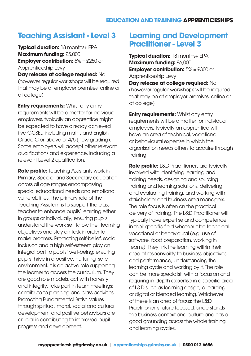#### **EDUCATION AND TRAINING APPRENTICESHIPS**

#### **Teaching Assistant - Level 3**

**Typical duration:** 18 months+ EPA **Maximum funding:** £5,000 **Employer contribution:**  $5\% = $250$  or Apprenticeship Levy

**Day release at college required:** No (however regular workshops will be required that may be at employer premises, online or at college)

**Entry requirements: Whilst any entry** requirements will be a matter for individual employers, typically an apprentice might be expected to have already achieved five GCSEs, including maths and English, Grade C or above or 4/5 (new grading). Some employers will accept other relevant qualifications and experience, including a relevant Level 2 qualification.

**Role profile:** Teaching Assistants work in Primary, Special and Secondary education across all age ranges encompassing special educational needs and emotional vulnerabilities. The primary role of the Teaching Assistant is to support the class teacher to enhance pupils' learning either in groups or individually, ensuring pupils understand the work set, know their learning objectives and stay on task in order to make progress. Promoting self-belief, social inclusion and a high self-esteem play an integral part to pupils' well-being; ensuring pupils thrive in a positive, nurturing, safe environment. It is an active role supporting the learner to access the curriculum. They are good role models, act with honesty and integrity, take part in team meetings; contribute to planning and class activities. Promoting Fundamental British Values through spiritual, moral, social and cultural development and positive behaviours are crucial in contributing to improved pupil progress and development.

#### **Learning and Development Practitioner - Level 3**

**Typical duration: 18 months+ EPA Maximum funding:** £6,000 **Employer contribution:**  $5\% = $300$  or Apprenticeship Levy **Day release at college required:** No (however regular workshops will be required that may be at employer premises, online or at college)

**Entry requirements: Whilst any entry** requirements will be a matter for individual employers, typically an apprentice will have an area of technical, vocational or behavioural expertise in which the organisation needs others to acquire through training.

**Role profile:** L&D Practitioners are typically involved with identifying learning and training needs, designing and sourcing training and learning solutions, delivering and evaluating training, and working with stakeholder and business area managers. The role focus is often on the practical delivery of training. The L&D Practitioner will typically have expertise and competence in their specific field whether it be technical, vocational or behavioural (e.g. use of software, food preparation, working in teams). They link the learning within their area of responsibility to business objectives and performance, understanding the learning cycle and working by it. The role can be more specialist, with a focus on and requiring in-depth expertise in a specific area of L&D such as learning design, e-learning or digital or blended learning. Whichever of these is an area of focus; the L&D Practitioner is future focused, understands the business context and culture and has a good grounding across the whole training and learning cycles.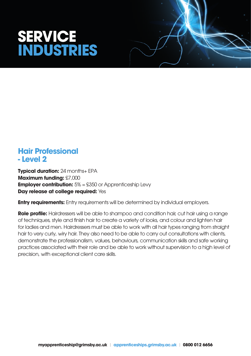## **SERVICE INDUSTRIES**



#### **Hair Professional - Level 2**

**Typical duration: 24 months+ EPA Maximum funding:** £7,000 **Employer contribution:**  $5\% = $350$  or Apprenticeship Levy **Day release at college required:** Yes

**Entry requirements:** Entry requirements will be determined by individual employers.

**Role profile:** Hairdressers will be able to shampoo and condition hair, cut hair using a range of techniques, style and finish hair to create a variety of looks, and colour and lighten hair for ladies and men. Hairdressers must be able to work with all hair types ranging from straight hair to very curly, wiry hair. They also need to be able to carry out consultations with clients, demonstrate the professionalism, values, behaviours, communication skills and safe working practices associated with their role and be able to work without supervision to a high level of precision, with exceptional client care skills.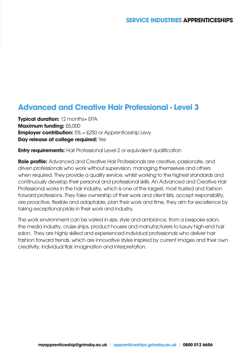#### **Advanced and Creative Hair Professional - Level 3**

**Typical duration:** 12 months+ EPA **Maximum funding:** £5,000 **Employer contribution:**  $5\% = $250$  or Apprenticeship Levy **Day release at college required:** Yes

**Entry requirements:** Hair Professional Level 2 or equivalent qualification

**Role profile:** Advanced and Creative Hair Professionals are creative, passionate, and driven professionals who work without supervision, managing themselves and others when required. They provide a quality service, whilst working to the highest standards and continuously develop their personal and professional skills. An Advanced and Creative Hair Professional works in the hair industry, which is one of the largest, most trusted and fashion forward professions. They take ownership of their work and client lists, accept responsibility, are proactive, flexible and adaptable, plan their work and time, they aim for excellence by taking exceptional pride in their work and industry.

The work environment can be varied in size, style and ambiance, from a bespoke salon, the media industry, cruise ships, product houses and manufacturers to luxury high-end hair salon. They are highly skilled and experienced individual professionals who deliver hair fashion forward trends, which are innovative styles inspired by current images and their own creativity, individual flair, imagination and interpretation.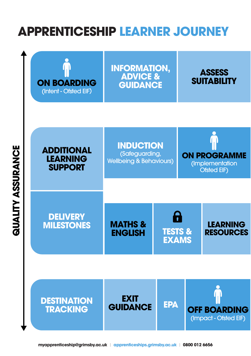### **APPRENTICESHIP LEARNER JOURNEY**

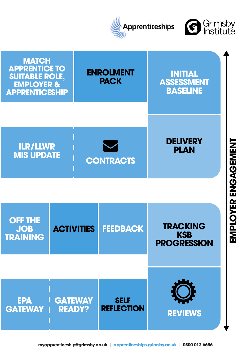



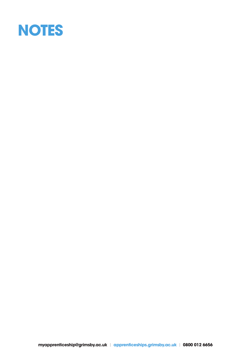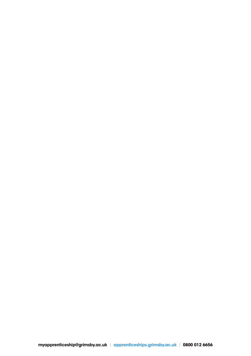**myapprenticeship@grimsby.ac.uk** | **apprenticeships.grimsby.ac.uk** | **0800 012 6656**